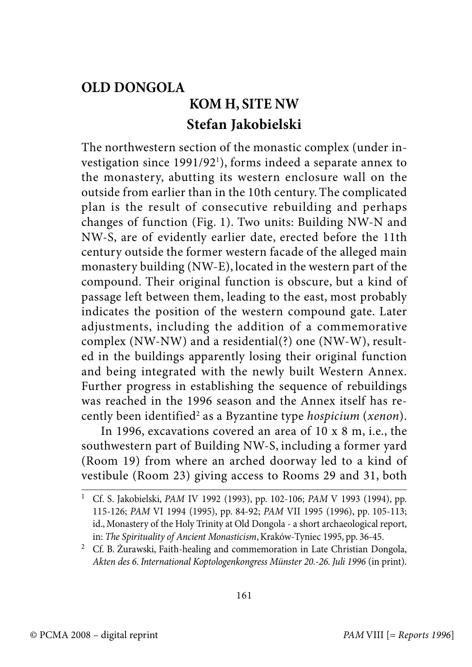## **OLD DONGOLA KOM H, SITE NW Stefan Jakobielski**

The northwestern section of the monastic complex (under investigation since 1991/92<sup>1</sup> ), forms indeed a separate annex to the monastery, abutting its western enclosure wall on the outside from earlier than in the 10th century. The complicated plan is the result of consecutive rebuilding and perhaps changes of function (Fig. 1). Two units: Building NW-N and NW-S, are of evidently earlier date, erected before the 11th century outside the former western facade of the alleged main monastery building (NW-E), located in the western part of the compound. Their original function is obscure, but a kind of passage left between them, leading to the east, most probably indicates the position of the western compound gate. Later adjustments, including the addition of a commemorative complex (NW-NW) and a residential(?) one (NW-W), resulted in the buildings apparently losing their original function and being integrated with the newly built Western Annex. Further progress in establishing the sequence of rebuildings was reached in the 1996 season and the Annex itself has recently been identified<sup>2</sup> as a Byzantine type *hospicium* (xenon).

In 1996, excavations covered an area of 10 x 8 m, i.e., the southwestern part of Building NW-S, including a former yard (Room 19) from where an arched doorway led to a kind of vestibule (Room 23) giving access to Rooms 29 and 31, both

<sup>1</sup> Cf. S. Jakobielski, PAM IV 1992 (1993), pp. 102-106; PAM V 1993 (1994), pp. 115-126; PAM VI 1994 (1995), pp. 84-92; PAM VII 1995 (1996), pp. 105-113; id., Monastery of the Holy Trinity at Old Dongola - a short archaeological report, in: The Spirituality of Ancient Monasticism, Kraków-Tyniec 1995, pp. 36-45.

<sup>&</sup>lt;sup>2</sup> Cf. B. Żurawski, Faith-healing and commemoration in Late Christian Dongola, Akten des 6. International Koptologenkongress Münster 20.-26. Juli 1996 (in print).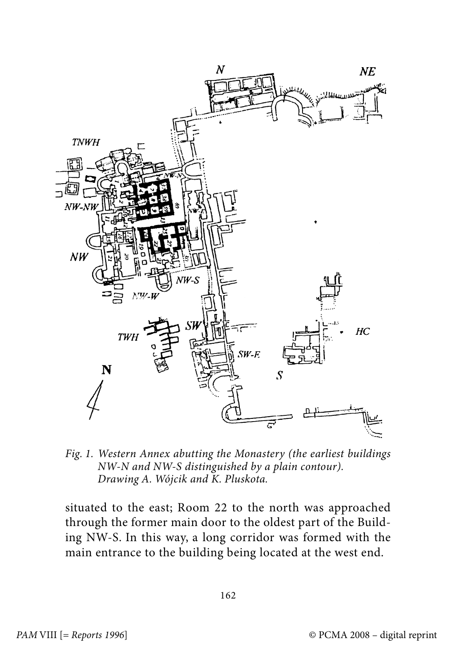

Fig. 1. Western Annex abutting the Monastery (the earliest buildings NW-N and NW-S distinguished by a plain contour). Drawing A. Wójcik and K. Pluskota.

situated to the east; Room 22 to the north was approached through the former main door to the oldest part of the Building NW-S. In this way, a long corridor was formed with the main entrance to the building being located at the west end.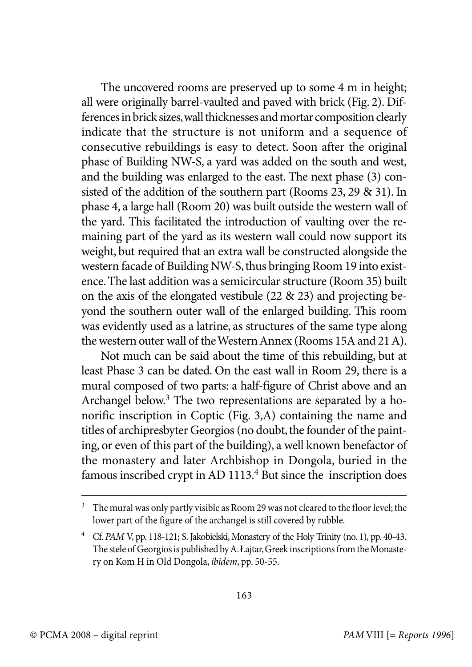The uncovered rooms are preserved up to some 4 m in height; all were originally barrel-vaulted and paved with brick (Fig. 2). Differences in brick sizes, wall thicknesses and mortar composition clearly indicate that the structure is not uniform and a sequence of consecutive rebuildings is easy to detect. Soon after the original phase of Building NW-S, a yard was added on the south and west, and the building was enlarged to the east. The next phase (3) consisted of the addition of the southern part (Rooms 23, 29 & 31). In phase 4, a large hall (Room 20) was built outside the western wall of the yard. This facilitated the introduction of vaulting over the remaining part of the yard as its western wall could now support its weight, but required that an extra wall be constructed alongside the western facade of Building NW-S, thus bringing Room 19 into existence. The last addition was a semicircular structure (Room 35) built on the axis of the elongated vestibule (22 & 23) and projecting beyond the southern outer wall of the enlarged building. This room was evidently used as a latrine, as structures of the same type along the western outer wall of the Western Annex (Rooms 15A and 21 A).

Not much can be said about the time of this rebuilding, but at least Phase 3 can be dated. On the east wall in Room 29, there is a mural composed of two parts: a half-figure of Christ above and an Archangel below.<sup>3</sup> The two representations are separated by a honorific inscription in Coptic (Fig. 3,A) containing the name and titles of archipresbyter Georgios (no doubt, the founder of the painting, or even of this part of the building), a well known benefactor of the monastery and later Archbishop in Dongola, buried in the famous inscribed crypt in AD 1113.<sup>4</sup> But since the inscription does

 $3$  The mural was only partly visible as Room 29 was not cleared to the floor level; the lower part of the figure of the archangel is still covered by rubble.

<sup>4</sup> Cf. PAM V, pp. 118-121; S. Jakobielski, Monastery of the Holy Trinity (no. 1), pp. 40-43. The stele of Georgios is published by A. Łajtar, Greek inscriptions from the Monastery on Kom H in Old Dongola, ibidem, pp. 50-55.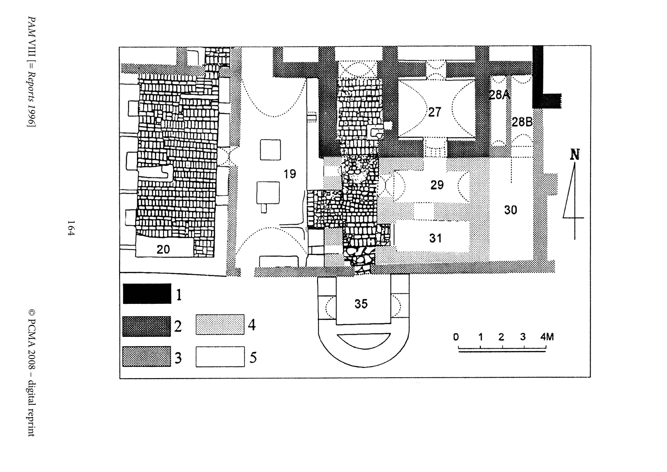



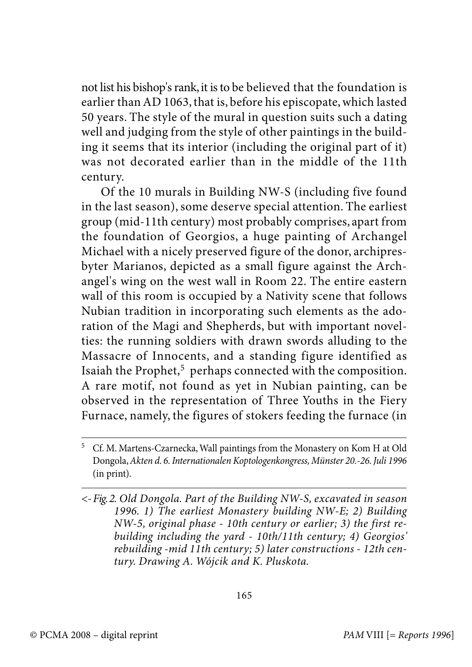not list his bishop's rank, it is to be believed that the foundation is earlier than AD 1063, that is, before his episcopate, which lasted 50 years. The style of the mural in question suits such a dating well and judging from the style of other paintings in the building it seems that its interior (including the original part of it) was not decorated earlier than in the middle of the 11th century.

Of the 10 murals in Building NW-S (including five found in the last season), some deserve special attention. The earliest group (mid-11th century) most probably comprises, apart from the foundation of Georgios, a huge painting of Archangel Michael with a nicely preserved figure of the donor, archipresbyter Marianos, depicted as a small figure against the Archangel's wing on the west wall in Room 22. The entire eastern wall of this room is occupied by a Nativity scene that follows Nubian tradition in incorporating such elements as the adoration of the Magi and Shepherds, but with important novelties: the running soldiers with drawn swords alluding to the Massacre of Innocents, and a standing figure identified as Isaiah the Prophet,<sup>5</sup> perhaps connected with the composition. A rare motif, not found as yet in Nubian painting, can be observed in the representation of Three Youths in the Fiery Furnace, namely, the figures of stokers feeding the furnace (in

<sup>5</sup> Cf. M. Martens-Czarnecka, Wall paintings from the Monastery on Kom H at Old Dongola, Akten d. 6. Internationalen Koptologenkongress, Münster 20.-26. Juli 1996 (in print).

<sup>&</sup>lt;- Fig. 2. Old Dongola. Part of the Building NW-S, excavated in season 1996. 1) The earliest Monastery building NW-E; 2) Building NW-5, original phase - 10th century or earlier; 3) the first rebuilding including the yard - 10th/11th century; 4) Georgios' rebuilding -mid 11th century; 5) later constructions - 12th century. Drawing A. Wójcik and K. Pluskota.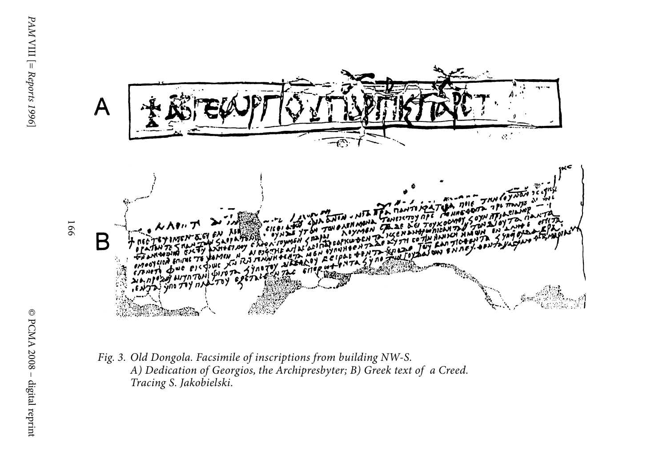

Fig. 3. Old Dongola. Facsimile of inscriptions from building NW-S. A) Dedication of Georgios, the Archipresbyter; B) Greek text of a Creed. Tracing S. Jakobielski.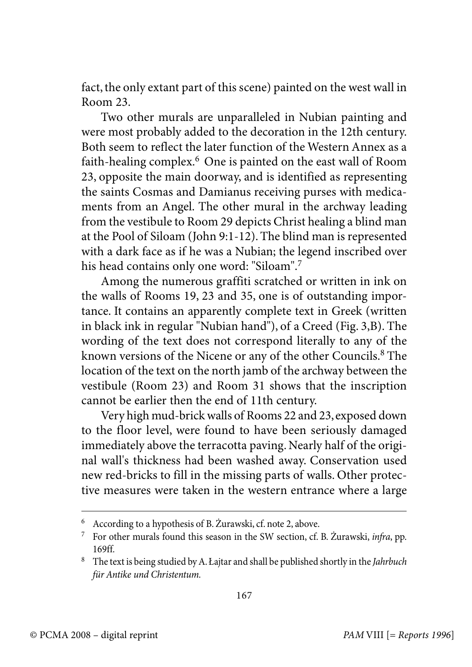fact, the only extant part of this scene) painted on the west wall in Room 23.

Two other murals are unparalleled in Nubian painting and were most probably added to the decoration in the 12th century. Both seem to reflect the later function of the Western Annex as a faith-healing complex.<sup>6</sup> One is painted on the east wall of Room 23, opposite the main doorway, and is identified as representing the saints Cosmas and Damianus receiving purses with medicaments from an Angel. The other mural in the archway leading from the vestibule to Room 29 depicts Christ healing a blind man at the Pool of Siloam (John 9:1-12). The blind man is represented with a dark face as if he was a Nubian; the legend inscribed over his head contains only one word: "Siloam".<sup>7</sup>

Among the numerous graffiti scratched or written in ink on the walls of Rooms 19, 23 and 35, one is of outstanding importance. It contains an apparently complete text in Greek (written in black ink in regular "Nubian hand"), of a Creed (Fig. 3,B). The wording of the text does not correspond literally to any of the known versions of the Nicene or any of the other Councils.<sup>8</sup> The location of the text on the north jamb of the archway between the vestibule (Room 23) and Room 31 shows that the inscription cannot be earlier then the end of 11th century.

Very high mud-brick walls of Rooms 22 and 23, exposed down to the floor level, were found to have been seriously damaged immediately above the terracotta paving. Nearly half of the original wall's thickness had been washed away. Conservation used new red-bricks to fill in the missing parts of walls. Other protective measures were taken in the western entrance where a large

<sup>6</sup> According to a hypothesis of B. Żurawski, cf. note 2, above.

<sup>7</sup> For other murals found this season in the SW section, cf. B. Żurawski, infra, pp. 169ff.

 $^8$  The text is being studied by A. Łajtar and shall be published shortly in the Jahrbuch für Antike und Christentum.